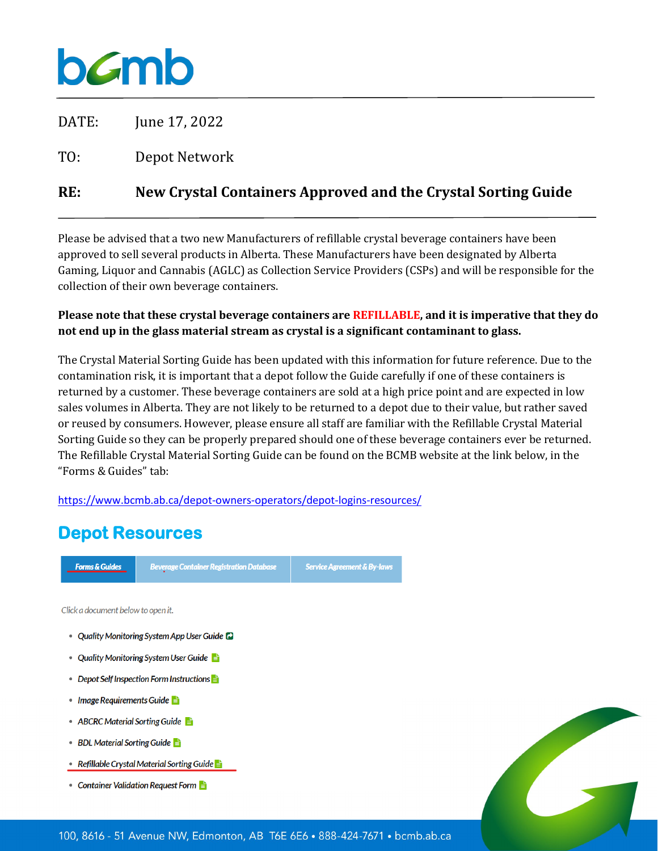# **b***c*mb

DATE: June 17, 2022

TO: Depot Network

### **RE: New Crystal Containers Approved and the Crystal Sorting Guide**

Please be advised that a two new Manufacturers of refillable crystal beverage containers have been approved to sell several products in Alberta. These Manufacturers have been designated by Alberta Gaming, Liquor and Cannabis (AGLC) as Collection Service Providers (CSPs) and will be responsible for the collection of their own beverage containers.

### **Please note that these crystal beverage containers are REFILLABLE, and it is imperative that they do not end up in the glass material stream as crystal is a significant contaminant to glass.**

The Crystal Material Sorting Guide has been updated with this information for future reference. Due to the contamination risk, it is important that a depot follow the Guide carefully if one of these containers is returned by a customer. These beverage containers are sold at a high price point and are expected in low sales volumes in Alberta. They are not likely to be returned to a depot due to their value, but rather saved or reused by consumers. However, please ensure all staff are familiar with the Refillable Crystal Material Sorting Guide so they can be properly prepared should one of these beverage containers ever be returned. The Refillable Crystal Material Sorting Guide can be found on the BCMB website at the link below, in the "Forms & Guides" tab:

<https://www.bcmb.ab.ca/depot-owners-operators/depot-logins-resources/>

## **Depot Resources**